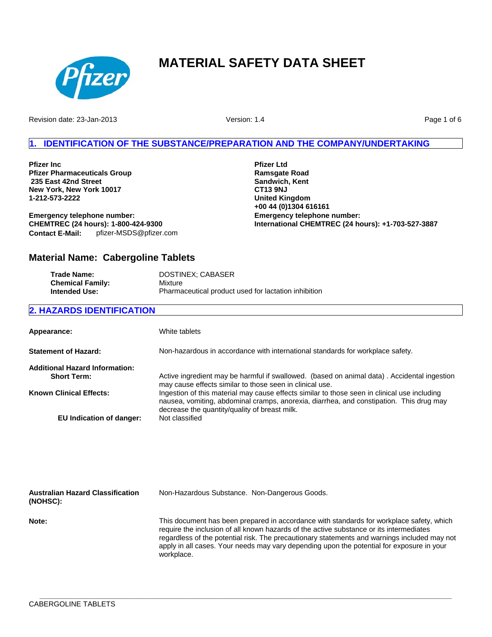

Revision date: 23-Jan-2013

Version: 1.4

Page 1 of 6

### **1. IDENTIFICATION OF THE SUBSTANCE/PREPARATION AND THE COMPANY/UNDERTAKING**

**Pfizer Inc Pfizer Pharmaceuticals Group 235 East 42nd Street New York, New York 10017 1-212-573-2222**

**Emergency telephone number: CHEMTREC (24 hours): 1-800-424-9300 Contact E-Mail:** pfizer-MSDS@pfizer.com **Pfizer Ltd Ramsgate Road Sandwich, Kent CT13 9NJ United Kingdom +00 44 (0)1304 616161 Emergency telephone number: International CHEMTREC (24 hours): +1-703-527-3887**

## **Material Name: Cabergoline Tablets**

| <b>Trade Name:</b>      | DOSTINEX; CABASER                                    |
|-------------------------|------------------------------------------------------|
| <b>Chemical Family:</b> | Mixture                                              |
| <b>Intended Use:</b>    | Pharmaceutical product used for lactation inhibition |

### **2. HAZARDS IDENTIFICATION**

| Appearance:                                                 | White tablets                                                                                                                                                                                                                            |
|-------------------------------------------------------------|------------------------------------------------------------------------------------------------------------------------------------------------------------------------------------------------------------------------------------------|
| <b>Statement of Hazard:</b>                                 | Non-hazardous in accordance with international standards for workplace safety.                                                                                                                                                           |
| <b>Additional Hazard Information:</b><br><b>Short Term:</b> | Active ingredient may be harmful if swallowed. (based on animal data). Accidental ingestion<br>may cause effects similar to those seen in clinical use.                                                                                  |
| <b>Known Clinical Effects:</b>                              | Ingestion of this material may cause effects similar to those seen in clinical use including<br>nausea, vomiting, abdominal cramps, anorexia, diarrhea, and constipation. This drug may<br>decrease the quantity/quality of breast milk. |
| EU Indication of danger:                                    | Not classified                                                                                                                                                                                                                           |
|                                                             |                                                                                                                                                                                                                                          |
|                                                             |                                                                                                                                                                                                                                          |

| <b>Australian Hazard Classification</b><br>(NOHSC): | Non-Hazardous Substance. Non-Dangerous Goods.                                                                                                                                                                                                                                                                                                                                                  |
|-----------------------------------------------------|------------------------------------------------------------------------------------------------------------------------------------------------------------------------------------------------------------------------------------------------------------------------------------------------------------------------------------------------------------------------------------------------|
| Note:                                               | This document has been prepared in accordance with standards for workplace safety, which<br>require the inclusion of all known hazards of the active substance or its intermediates<br>regardless of the potential risk. The precautionary statements and warnings included may not<br>apply in all cases. Your needs may vary depending upon the potential for exposure in your<br>workplace. |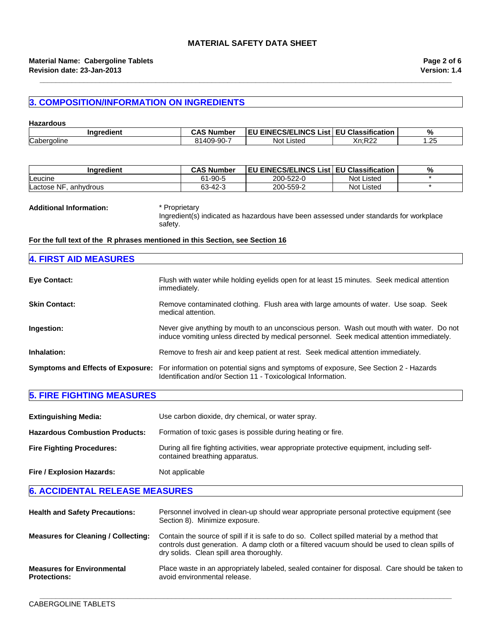### **3. COMPOSITION/INFORMATION ON INGREDIENTS**

| <b>Hazardous</b> |                   |                                                |                                  |     |
|------------------|-------------------|------------------------------------------------|----------------------------------|-----|
| Inaredient       | <b>CAS Number</b> | <b>EU EINECS/ELINCS List EU Classification</b> |                                  | %   |
| Cabergoline      | 81409-90-7        | Not l<br>Listed                                | $V_0$ .D $22$<br>1.N44<br>$\sim$ | .25 |

**\_\_\_\_\_\_\_\_\_\_\_\_\_\_\_\_\_\_\_\_\_\_\_\_\_\_\_\_\_\_\_\_\_\_\_\_\_\_\_\_\_\_\_\_\_\_\_\_\_\_\_\_\_\_\_\_\_\_\_\_\_\_\_\_\_\_\_\_\_\_\_\_\_\_\_\_\_\_\_\_\_\_\_\_\_\_\_\_\_\_\_\_\_\_\_\_\_\_\_\_\_\_\_**

| Inaredient              | <b>CAS Number</b> | <b>EU EINECS/ELINCS List EU Classification</b> |                   | % |
|-------------------------|-------------------|------------------------------------------------|-------------------|---|
| Leucine                 | 61-90-5           | 200-522-0                                      | <b>Not Listed</b> |   |
| Lactose NF<br>anhvdrous | 63-42-3           | 200-559-2                                      | <b>Not Listed</b> |   |

#### **Additional Information:** \* Proprietary

Ingredient(s) indicated as hazardous have been assessed under standards for workplace safety.

### **For the full text of the R phrases mentioned in this Section, see Section 16**

| <b>4. FIRST AID MEASURES</b>             |                                                                                                                                                                                       |
|------------------------------------------|---------------------------------------------------------------------------------------------------------------------------------------------------------------------------------------|
| <b>Eye Contact:</b>                      | Flush with water while holding eyelids open for at least 15 minutes. Seek medical attention<br>immediately.                                                                           |
| <b>Skin Contact:</b>                     | Remove contaminated clothing. Flush area with large amounts of water. Use soap. Seek<br>medical attention.                                                                            |
| Ingestion:                               | Never give anything by mouth to an unconscious person. Wash out mouth with water. Do not<br>induce vomiting unless directed by medical personnel. Seek medical attention immediately. |
| Inhalation:                              | Remove to fresh air and keep patient at rest. Seek medical attention immediately.                                                                                                     |
| <b>Symptoms and Effects of Exposure:</b> | For information on potential signs and symptoms of exposure, See Section 2 - Hazards<br>Identification and/or Section 11 - Toxicological Information.                                 |

### **5. FIRE FIGHTING MEASURES**

| <b>Extinguishing Media:</b>           | Use carbon dioxide, dry chemical, or water spray.                                                                             |
|---------------------------------------|-------------------------------------------------------------------------------------------------------------------------------|
| <b>Hazardous Combustion Products:</b> | Formation of toxic gases is possible during heating or fire.                                                                  |
| <b>Fire Fighting Procedures:</b>      | During all fire fighting activities, wear appropriate protective equipment, including self-<br>contained breathing apparatus. |
| Fire / Explosion Hazards:             | Not applicable                                                                                                                |

**6. ACCIDENTAL RELEASE MEASURES**

| <b>Health and Safety Precautions:</b>                    | Personnel involved in clean-up should wear appropriate personal protective equipment (see<br>Section 8). Minimize exposure.                                                                                                                |
|----------------------------------------------------------|--------------------------------------------------------------------------------------------------------------------------------------------------------------------------------------------------------------------------------------------|
| <b>Measures for Cleaning / Collecting:</b>               | Contain the source of spill if it is safe to do so. Collect spilled material by a method that<br>controls dust generation. A damp cloth or a filtered vacuum should be used to clean spills of<br>dry solids. Clean spill area thoroughly. |
| <b>Measures for Environmental</b><br><b>Protections:</b> | Place waste in an appropriately labeled, sealed container for disposal. Care should be taken to<br>avoid environmental release.                                                                                                            |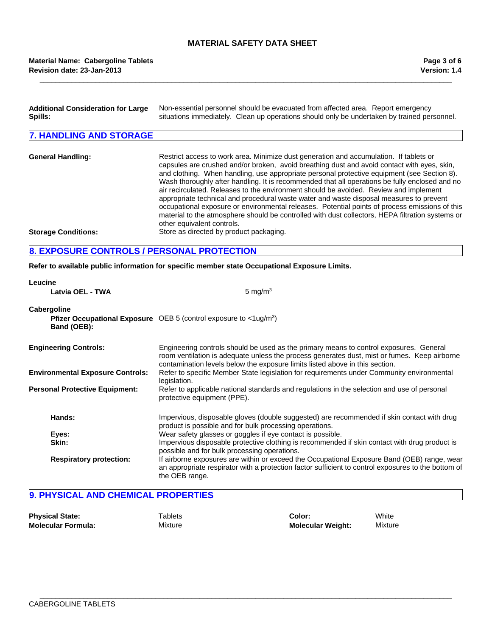**\_\_\_\_\_\_\_\_\_\_\_\_\_\_\_\_\_\_\_\_\_\_\_\_\_\_\_\_\_\_\_\_\_\_\_\_\_\_\_\_\_\_\_\_\_\_\_\_\_\_\_\_\_\_\_\_\_\_\_\_\_\_\_\_\_\_\_\_\_\_\_\_\_\_\_\_\_\_\_\_\_\_\_\_\_\_\_\_\_\_\_\_\_\_\_\_\_\_\_\_\_\_\_**

### **Revision date: 23-Jan-2013 Material Name: Cabergoline Tablets**

| <b>Additional Consideration for Large</b><br>Spills: | Non-essential personnel should be evacuated from affected area. Report emergency<br>situations immediately. Clean up operations should only be undertaken by trained personnel.                                                                                                                                                                                                                                                                                                                                                                                                                                                                                                                                                                                                                                |
|------------------------------------------------------|----------------------------------------------------------------------------------------------------------------------------------------------------------------------------------------------------------------------------------------------------------------------------------------------------------------------------------------------------------------------------------------------------------------------------------------------------------------------------------------------------------------------------------------------------------------------------------------------------------------------------------------------------------------------------------------------------------------------------------------------------------------------------------------------------------------|
| <b>7. HANDLING AND STORAGE</b>                       |                                                                                                                                                                                                                                                                                                                                                                                                                                                                                                                                                                                                                                                                                                                                                                                                                |
| <b>General Handling:</b>                             | Restrict access to work area. Minimize dust generation and accumulation. If tablets or<br>capsules are crushed and/or broken, avoid breathing dust and avoid contact with eyes, skin,<br>and clothing. When handling, use appropriate personal protective equipment (see Section 8).<br>Wash thoroughly after handling. It is recommended that all operations be fully enclosed and no<br>air recirculated. Releases to the environment should be avoided. Review and implement<br>appropriate technical and procedural waste water and waste disposal measures to prevent<br>occupational exposure or environmental releases. Potential points of process emissions of this<br>material to the atmosphere should be controlled with dust collectors, HEPA filtration systems or<br>other equivalent controls. |
| <b>Storage Conditions:</b>                           | Store as directed by product packaging.                                                                                                                                                                                                                                                                                                                                                                                                                                                                                                                                                                                                                                                                                                                                                                        |
| <b>8. EXPOSURE CONTROLS / PERSONAL PROTECTION</b>    |                                                                                                                                                                                                                                                                                                                                                                                                                                                                                                                                                                                                                                                                                                                                                                                                                |

### **Refer to available public information for specific member state Occupational Exposure Limits.**

| Leucine                                 |                                                                                                                                                                                                                                                                        |  |  |
|-----------------------------------------|------------------------------------------------------------------------------------------------------------------------------------------------------------------------------------------------------------------------------------------------------------------------|--|--|
| Latvia OEL - TWA                        | 5 mg/m <sup>3</sup>                                                                                                                                                                                                                                                    |  |  |
| Cabergoline                             |                                                                                                                                                                                                                                                                        |  |  |
| Band (OEB):                             | Pfizer Occupational Exposure OEB 5 (control exposure to <1ug/m <sup>3</sup> )                                                                                                                                                                                          |  |  |
| <b>Engineering Controls:</b>            | Engineering controls should be used as the primary means to control exposures. General<br>room ventilation is adequate unless the process generates dust, mist or fumes. Keep airborne<br>contamination levels below the exposure limits listed above in this section. |  |  |
| <b>Environmental Exposure Controls:</b> | Refer to specific Member State legislation for requirements under Community environmental<br>legislation.                                                                                                                                                              |  |  |
| <b>Personal Protective Equipment:</b>   | Refer to applicable national standards and regulations in the selection and use of personal<br>protective equipment (PPE).                                                                                                                                             |  |  |
| Hands:                                  | Impervious, disposable gloves (double suggested) are recommended if skin contact with drug<br>product is possible and for bulk processing operations.                                                                                                                  |  |  |
| Eyes:                                   | Wear safety glasses or goggles if eye contact is possible.                                                                                                                                                                                                             |  |  |
| Skin:                                   | Impervious disposable protective clothing is recommended if skin contact with drug product is<br>possible and for bulk processing operations.                                                                                                                          |  |  |
| <b>Respiratory protection:</b>          | If airborne exposures are within or exceed the Occupational Exposure Band (OEB) range, wear<br>an appropriate respirator with a protection factor sufficient to control exposures to the bottom of<br>the OEB range.                                                   |  |  |

### **9. PHYSICAL AND CHEMICAL PROPERTIES**

| <b>Physical State:</b>    | <b>Tablets</b> | Color:                   | White   |
|---------------------------|----------------|--------------------------|---------|
| <b>Molecular Formula:</b> | Mixture        | <b>Molecular Weight:</b> | Mixture |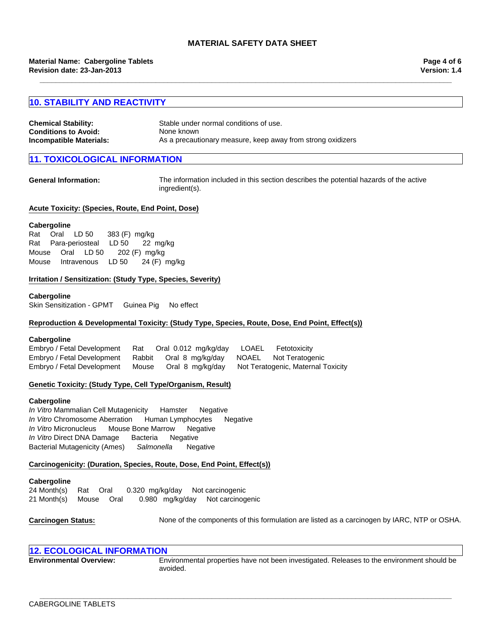**\_\_\_\_\_\_\_\_\_\_\_\_\_\_\_\_\_\_\_\_\_\_\_\_\_\_\_\_\_\_\_\_\_\_\_\_\_\_\_\_\_\_\_\_\_\_\_\_\_\_\_\_\_\_\_\_\_\_\_\_\_\_\_\_\_\_\_\_\_\_\_\_\_\_\_\_\_\_\_\_\_\_\_\_\_\_\_\_\_\_\_\_\_\_\_\_\_\_\_\_\_\_\_**

### **10. STABILITY AND REACTIVITY**

| <b>Chemical Stability:</b>  | Stable under normal conditions of use.                      |
|-----------------------------|-------------------------------------------------------------|
| <b>Conditions to Avoid:</b> | None known                                                  |
| Incompatible Materials:     | As a precautionary measure, keep away from strong oxidizers |

### **10XICOLOGICAL INFORMATION**

**General Information:** The information included in this section describes the potential hazards of the active ingredient(s).

#### **Acute Toxicity: (Species, Route, End Point, Dose)**

#### **Cabergoline**

|  |  | Rat Oral LD 50 383 (F) mg/kg         |  |
|--|--|--------------------------------------|--|
|  |  | Rat Para-periosteal LD 50 22 mg/kg   |  |
|  |  | Mouse Oral LD 50 202 (F) mg/kg       |  |
|  |  | Mouse Intravenous LD 50 24 (F) mg/kg |  |

#### **Irritation / Sensitization: (Study Type, Species, Severity)**

#### **Cabergoline**

Skin Sensitization - GPMTGuinea PigNo effect

#### **Reproduction & Developmental Toxicity: (Study Type, Species, Route, Dose, End Point, Effect(s))**

#### **Cabergoline**

Embryo / Fetal DevelopmentRatOral0.012mg/kg/dayLOAELFetotoxicity Embryo / Fetal DevelopmentRabbitOral8mg/kg/dayNOAELNot Teratogenic Embryo / Fetal DevelopmentMouseOral8mg/kg/dayNot Teratogenic, Maternal Toxicity

#### **Genetic Toxicity: (Study Type, Cell Type/Organism, Result)**

#### **Cabergoline**

*In Vitro* MicronucleusMouse Bone MarrowNegative *In Vitro* Direct DNA DamageBacteriaNegative Bacterial Mutagenicity (Ames)*Salmonella* Negative *In Vitro* Mammalian Cell MutagenicityHamsterNegative *In Vitro* Chromosome AberrationHuman LymphocytesNegative

#### **Carcinogenicity: (Duration, Species, Route, Dose, End Point, Effect(s))**

#### **Cabergoline**

24 Month(s)RatOral0.320mg/kg/dayNot carcinogenic 21 Month(s)MouseOral0.980mg/kg/dayNot carcinogenic

**Carcinogen Status:** None of the components of this formulation are listed as a carcinogen by IARC, NTP or OSHA.

### **12. ECOLOGICAL INFORMATION**

**Environmental Overview:** Environmental properties have not been investigated. Releases to the environment should be avoided.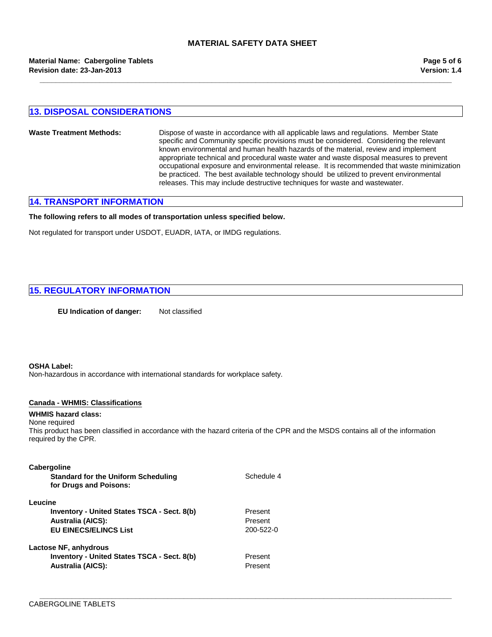**\_\_\_\_\_\_\_\_\_\_\_\_\_\_\_\_\_\_\_\_\_\_\_\_\_\_\_\_\_\_\_\_\_\_\_\_\_\_\_\_\_\_\_\_\_\_\_\_\_\_\_\_\_\_\_\_\_\_\_\_\_\_\_\_\_\_\_\_\_\_\_\_\_\_\_\_\_\_\_\_\_\_\_\_\_\_\_\_\_\_\_\_\_\_\_\_\_\_\_\_\_\_\_**

### **13. DISPOSAL CONSIDERATIONS**

#### **Waste Treatment Methods:** Dispose of waste in accordance with all applicable laws and regulations. Member State specific and Community specific provisions must be considered. Considering the relevant known environmental and human health hazards of the material, review and implement appropriate technical and procedural waste water and waste disposal measures to prevent occupational exposure and environmental release. It is recommended that waste minimization be practiced. The best available technology should be utilized to prevent environmental releases. This may include destructive techniques for waste and wastewater.

### **14. TRANSPORT INFORMATION**

#### **The following refers to all modes of transportation unless specified below.**

Not regulated for transport under USDOT, EUADR, IATA, or IMDG regulations.

### **15. REGULATORY INFORMATION**

**EU Indication of danger:** Not classified

#### **OSHA Label:**

Non-hazardous in accordance with international standards for workplace safety.

#### **Canada - WHMIS: Classifications**

### **WHMIS hazard class:**

None required This product has been classified in accordance with the hazard criteria of the CPR and the MSDS contains all of the information required by the CPR.

Schedule 4

**\_\_\_\_\_\_\_\_\_\_\_\_\_\_\_\_\_\_\_\_\_\_\_\_\_\_\_\_\_\_\_\_\_\_\_\_\_\_\_\_\_\_\_\_\_\_\_\_\_\_\_\_\_\_\_\_\_\_\_\_\_\_\_\_\_\_\_\_\_\_\_\_\_\_\_\_\_\_\_\_\_\_\_\_\_\_\_\_\_\_\_\_\_\_\_\_\_\_\_\_\_\_\_**

#### **Cabergoline**

| <b>Standard for the Uniform Scheduling</b> |
|--------------------------------------------|
| for Drugs and Poisons:                     |

#### **Leucine**

**Australia (AICS):** Present **EU EINECS/ELINCS List** 200-522-0 **Inventory - United States TSCA - Sect. 8(b)** Present

**Lactose NF, anhydrous Inventory - United States TSCA - Sect. 8(b)** Present **Australia (AICS):** Present